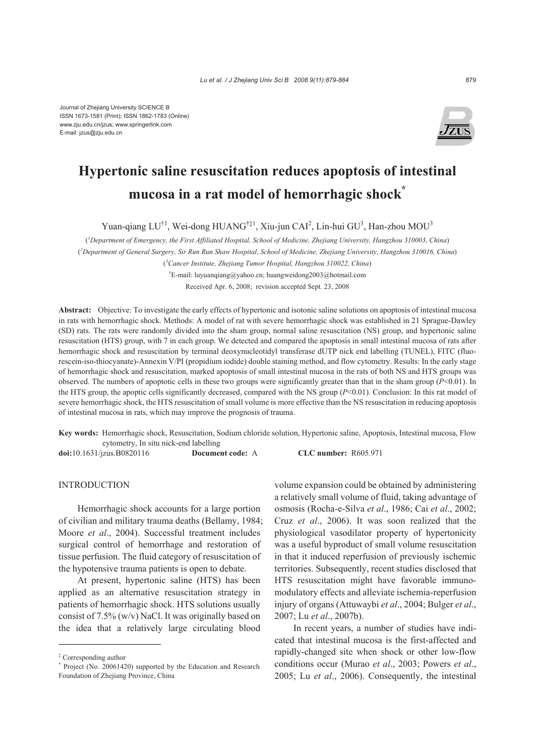

# **Hypertonic saline resuscitation reduces apoptosis of intestinal mucosa in a rat model of hemorrhagic shock\***

Yuan-qiang LU<sup>†1</sup>, Wei-dong HUANG<sup>†‡1</sup>, Xiu-jun CAI<sup>2</sup>, Lin-hui GU<sup>3</sup>, Han-zhou MOU<sup>3</sup>

( *1 Department of Emergency, the First Affiliated Hospital, School of Medicine, Zhejiang University, Hangzhou 310003, China*) ( *2 Department of General Surgery, Sir Run Run Shaw Hospital, School of Medicine, Zhejiang University, Hangzhou 310016, China*)

( *3 Cancer Institute, Zhejiang Tumor Hospital, Hangzhou 310022, China*)

† E-mail: luyuanqiang@yahoo.cn; huangweidong2003@hotmail.com Received Apr. 6, 2008; revision accepted Sept. 23, 2008

**Abstract:** Objective: To investigate the early effects of hypertonic and isotonic saline solutions on apoptosis of intestinal mucosa in rats with hemorrhagic shock. Methods: A model of rat with severe hemorrhagic shock was established in 21 Sprague-Dawley (SD) rats. The rats were randomly divided into the sham group, normal saline resuscitation (NS) group, and hypertonic saline resuscitation (HTS) group, with 7 in each group. We detected and compared the apoptosis in small intestinal mucosa of rats after hemorrhagic shock and resuscitation by terminal deoxynucleotidyl transferase dUTP nick end labelling (TUNEL), FITC (fluorescein-iso-thiocyanate)-Annexin V/PI (propidium iodide) double staining method, and flow cytometry. Results: In the early stage of hemorrhagic shock and resuscitation, marked apoptosis of small intestinal mucosa in the rats of both NS and HTS groups was observed. The numbers of apoptotic cells in these two groups were significantly greater than that in the sham group (*P*<0.01). In the HTS group, the apoptic cells significantly decreased, compared with the NS group (*P*<0.01). Conclusion: In this rat model of severe hemorrhagic shock, the HTS resuscitation of small volume is more effective than the NS resuscitation in reducing apoptosis of intestinal mucosa in rats, which may improve the prognosis of trauma.

**Key words:** Hemorrhagic shock, Resuscitation, Sodium chloride solution, Hypertonic saline, Apoptosis, Intestinal mucosa, Flow cytometry, In situ nick-end labelling

**doi:**10.1631/jzus.B0820116 **Document code:** A **CLC number:** R605.971

# INTRODUCTION

Hemorrhagic shock accounts for a large portion of civilian and military trauma deaths (Bellamy, 1984; Moore *et al*., 2004). Successful treatment includes surgical control of hemorrhage and restoration of tissue perfusion. The fluid category of resuscitation of the hypotensive trauma patients is open to debate.

At present, hypertonic saline (HTS) has been applied as an alternative resuscitation strategy in patients of hemorrhagic shock. HTS solutions usually consist of 7.5% (w/v) NaCl. It was originally based on the idea that a relatively large circulating blood volume expansion could be obtained by administering a relatively small volume of fluid, taking advantage of osmosis (Rocha-e-Silva *et al*., 1986; Cai *et al*., 2002; Cruz *et al*., 2006). It was soon realized that the physiological vasodilator property of hypertonicity was a useful byproduct of small volume resuscitation in that it induced reperfusion of previously ischemic territories. Subsequently, recent studies disclosed that HTS resuscitation might have favorable immunomodulatory effects and alleviate ischemia-reperfusion injury of organs (Attuwaybi *et al*., 2004; Bulger *et al*., 2007; Lu *et al*., 2007b).

In recent years, a number of studies have indicated that intestinal mucosa is the first-affected and rapidly-changed site when shock or other low-flow conditions occur (Murao *et al*., 2003; Powers *et al*., 2005; Lu *et al*., 2006). Consequently, the intestinal

<sup>‡</sup> Corresponding author

<sup>\*</sup> Project (No. 20061420) supported by the Education and Research Foundation of Zhejiang Province, China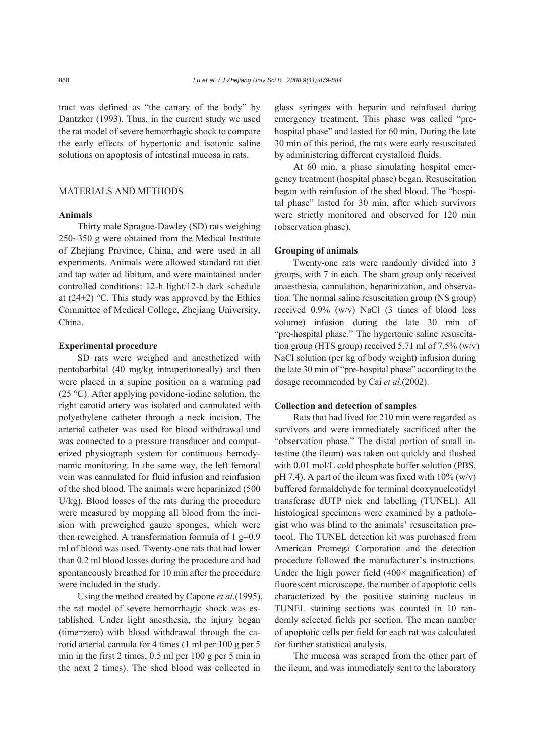tract was defined as "the canary of the body" by Dantzker (1993). Thus, in the current study we used the rat model of severe hemorrhagic shock to compare the early effects of hypertonic and isotonic saline solutions on apoptosis of intestinal mucosa in rats.

# MATERIALS AND METHODS

# **Animals**

Thirty male Sprague-Dawley (SD) rats weighing 250~350 g were obtained from the Medical Institute of Zhejiang Province, China, and were used in all experiments. Animals were allowed standard rat diet and tap water ad libitum, and were maintained under controlled conditions: 12-h light/12-h dark schedule at (24 $\pm$ 2) °C. This study was approved by the Ethics Committee of Medical College, Zhejiang University, China.

### **Experimental procedure**

SD rats were weighed and anesthetized with pentobarbital (40 mg/kg intraperitoneally) and then were placed in a supine position on a warming pad (25 °C). After applying povidone-iodine solution, the right carotid artery was isolated and cannulated with polyethylene catheter through a neck incision. The arterial catheter was used for blood withdrawal and was connected to a pressure transducer and computerized physiograph system for continuous hemodynamic monitoring. In the same way, the left femoral vein was cannulated for fluid infusion and reinfusion of the shed blood. The animals were heparinized (500 U/kg). Blood losses of the rats during the procedure were measured by mopping all blood from the incision with preweighed gauze sponges, which were then reweighed. A transformation formula of  $1 \text{ g}=0.9$ ml of blood was used. Twenty-one rats that had lower than 0.2 ml blood losses during the procedure and had spontaneously breathed for 10 min after the procedure were included in the study.

Using the method created by Capone *et al*.(1995), the rat model of severe hemorrhagic shock was established. Under light anesthesia, the injury began (time=zero) with blood withdrawal through the carotid arterial cannula for 4 times (1 ml per 100 g per 5 min in the first 2 times, 0.5 ml per 100 g per 5 min in the next 2 times). The shed blood was collected in

glass syringes with heparin and reinfused during emergency treatment. This phase was called "prehospital phase" and lasted for 60 min. During the late 30 min of this period, the rats were early resuscitated by administering different crystalloid fluids.

At 60 min, a phase simulating hospital emergency treatment (hospital phase) began. Resuscitation began with reinfusion of the shed blood. The "hospital phase" lasted for 30 min, after which survivors were strictly monitored and observed for 120 min (observation phase).

### **Grouping of animals**

Twenty-one rats were randomly divided into 3 groups, with 7 in each. The sham group only received anaesthesia, cannulation, heparinization, and observation. The normal saline resuscitation group (NS group) received 0.9% (w/v) NaCl (3 times of blood loss volume) infusion during the late 30 min of "pre-hospital phase." The hypertonic saline resuscitation group (HTS group) received 5.71 ml of 7.5% (w/v) NaCl solution (per kg of body weight) infusion during the late 30 min of "pre-hospital phase" according to the dosage recommended by Cai *et al*.(2002).

## **Collection and detection of samples**

Rats that had lived for 210 min were regarded as survivors and were immediately sacrificed after the "observation phase." The distal portion of small intestine (the ileum) was taken out quickly and flushed with 0.01 mol/L cold phosphate buffer solution (PBS, pH 7.4). A part of the ileum was fixed with  $10\%$  (w/v) buffered formaldehyde for terminal deoxynucleotidyl transferase dUTP nick end labelling (TUNEL). All histological specimens were examined by a pathologist who was blind to the animals' resuscitation protocol. The TUNEL detection kit was purchased from American Promega Corporation and the detection procedure followed the manufacturer's instructions. Under the high power field  $(400 \times$  magnification) of fluorescent microscope, the number of apoptotic cells characterized by the positive staining nucleus in TUNEL staining sections was counted in 10 randomly selected fields per section. The mean number of apoptotic cells per field for each rat was calculated for further statistical analysis.

The mucosa was scraped from the other part of the ileum, and was immediately sent to the laboratory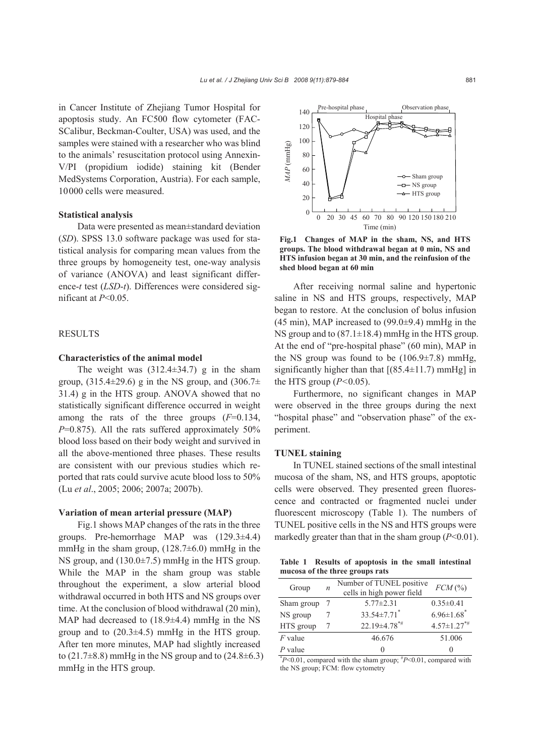in Cancer Institute of Zhejiang Tumor Hospital for apoptosis study. An FC500 flow cytometer (FAC-SCalibur, Beckman-Coulter, USA) was used, and the samples were stained with a researcher who was blind to the animals' resuscitation protocol using Annexin-V/PI (propidium iodide) staining kit (Bender MedSystems Corporation, Austria). For each sample, 10000 cells were measured.

# **Statistical analysis**

Data were presented as mean±standard deviation (*SD*). SPSS 13.0 software package was used for statistical analysis for comparing mean values from the three groups by homogeneity test, one-way analysis of variance (ANOVA) and least significant difference-*t* test (*LSD*-*t*). Differences were considered significant at *P*<0.05.

# **RESULTS**

## **Characteristics of the animal model**

The weight was  $(312.4\pm34.7)$  g in the sham group,  $(315.4\pm 29.6)$  g in the NS group, and  $(306.7\pm$ 31.4) g in the HTS group. ANOVA showed that no statistically significant difference occurred in weight among the rats of the three groups (*F*=0.134, *P*=0.875). All the rats suffered approximately 50% blood loss based on their body weight and survived in all the above-mentioned three phases. These results are consistent with our previous studies which reported that rats could survive acute blood loss to 50% (Lu *et al*., 2005; 2006; 2007a; 2007b).

#### **Variation of mean arterial pressure (MAP)**

Fig.1 shows MAP changes of the rats in the three groups. Pre-hemorrhage MAP was (129.3±4.4) mmHg in the sham group,  $(128.7\pm6.0)$  mmHg in the NS group, and (130.0±7.5) mmHg in the HTS group. While the MAP in the sham group was stable throughout the experiment, a slow arterial blood withdrawal occurred in both HTS and NS groups over time. At the conclusion of blood withdrawal (20 min), MAP had decreased to (18.9±4.4) mmHg in the NS group and to  $(20.3\pm4.5)$  mmHg in the HTS group. After ten more minutes, MAP had slightly increased to  $(21.7\pm8.8)$  mmHg in the NS group and to  $(24.8\pm6.3)$ mmHg in the HTS group.



**Fig.1 Changes of MAP in the sham, NS, and HTS groups. The blood withdrawal began at 0 min, NS and HTS infusion began at 30 min, and the reinfusion of the shed blood began at 60 min**

After receiving normal saline and hypertonic saline in NS and HTS groups, respectively, MAP began to restore. At the conclusion of bolus infusion  $(45 \text{ min})$ , MAP increased to  $(99.0\pm9.4)$  mmHg in the NS group and to (87.1±18.4) mmHg in the HTS group. At the end of "pre-hospital phase" (60 min), MAP in the NS group was found to be  $(106.9\pm7.8)$  mmHg, significantly higher than that  $[(85.4 \pm 11.7) \text{ mmHg}]$  in the HTS group (*P<*0.05).

Furthermore, no significant changes in MAP were observed in the three groups during the next "hospital phase" and "observation phase" of the experiment.

## **TUNEL staining**

In TUNEL stained sections of the small intestinal mucosa of the sham, NS, and HTS groups, apoptotic cells were observed. They presented green fluorescence and contracted or fragmented nuclei under fluorescent microscopy (Table 1). The numbers of TUNEL positive cells in the NS and HTS groups were markedly greater than that in the sham group (*P*<0.01).

|  | Table 1 Results of apoptosis in the small intestinal |  |  |
|--|------------------------------------------------------|--|--|
|  | mucosa of the three groups rats                      |  |  |

| Group      | $\boldsymbol{n}$ | Number of TUNEL positive<br>cells in high power field | $FCM$ (%)                     |
|------------|------------------|-------------------------------------------------------|-------------------------------|
| Sham group |                  | $5.77 \pm 2.31$                                       | $0.35 \pm 0.41$               |
| NS group   |                  | $33.54 \pm 7.71$ *                                    | $6.96 \pm 1.68$ <sup>*</sup>  |
| HTS group  |                  | $22.19\pm4.78$ <sup>*#</sup>                          | $4.57 \pm 1.27$ <sup>*#</sup> |
| $F$ value  |                  | 46.676                                                | 51.006                        |
| $P$ value  |                  | $\mathbf{0}$                                          | $\mathbf{0}$                  |

\* *P*<0.01, compared with the sham group; # *P*<0.01, compared with the NS group; FCM: flow cytometry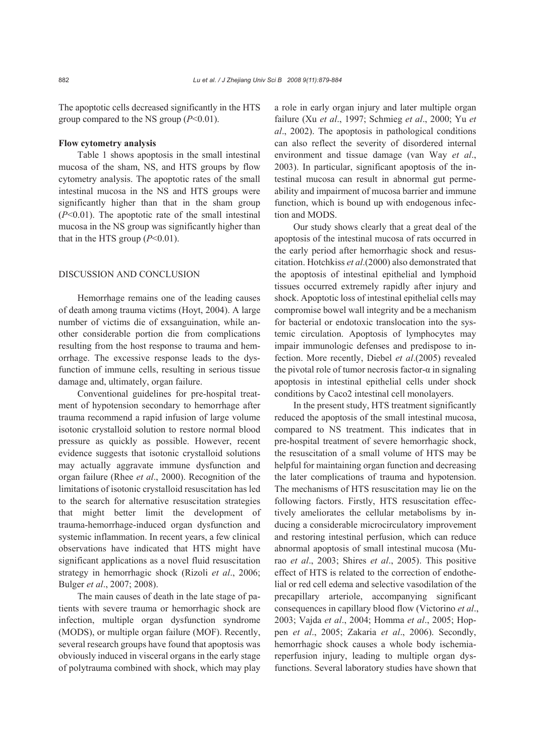The apoptotic cells decreased significantly in the HTS group compared to the NS group (*P*<0.01).

## **Flow cytometry analysis**

Table 1 shows apoptosis in the small intestinal mucosa of the sham, NS, and HTS groups by flow cytometry analysis. The apoptotic rates of the small intestinal mucosa in the NS and HTS groups were significantly higher than that in the sham group (*P*<0.01). The apoptotic rate of the small intestinal mucosa in the NS group was significantly higher than that in the HTS group  $(P<0.01)$ .

## DISCUSSION AND CONCLUSION

Hemorrhage remains one of the leading causes of death among trauma victims (Hoyt, 2004). A large number of victims die of exsanguination, while another considerable portion die from complications resulting from the host response to trauma and hemorrhage. The excessive response leads to the dysfunction of immune cells, resulting in serious tissue damage and, ultimately, organ failure.

Conventional guidelines for pre-hospital treatment of hypotension secondary to hemorrhage after trauma recommend a rapid infusion of large volume isotonic crystalloid solution to restore normal blood pressure as quickly as possible. However, recent evidence suggests that isotonic crystalloid solutions may actually aggravate immune dysfunction and organ failure (Rhee *et al*., 2000). Recognition of the limitations of isotonic crystalloid resuscitation has led to the search for alternative resuscitation strategies that might better limit the development of trauma-hemorrhage-induced organ dysfunction and systemic inflammation. In recent years, a few clinical observations have indicated that HTS might have significant applications as a novel fluid resuscitation strategy in hemorrhagic shock (Rizoli *et al*., 2006; Bulger *et al*., 2007; 2008).

The main causes of death in the late stage of patients with severe trauma or hemorrhagic shock are infection, multiple organ dysfunction syndrome (MODS), or multiple organ failure (MOF). Recently, several research groups have found that apoptosis was obviously induced in visceral organs in the early stage of polytrauma combined with shock, which may play a role in early organ injury and later multiple organ failure (Xu *et al*., 1997; Schmieg *et al*., 2000; Yu *et al*., 2002). The apoptosis in pathological conditions can also reflect the severity of disordered internal environment and tissue damage (van Way *et al*., 2003). In particular, significant apoptosis of the intestinal mucosa can result in abnormal gut permeability and impairment of mucosa barrier and immune function, which is bound up with endogenous infection and MODS.

Our study shows clearly that a great deal of the apoptosis of the intestinal mucosa of rats occurred in the early period after hemorrhagic shock and resuscitation. Hotchkiss *et al*.(2000) also demonstrated that the apoptosis of intestinal epithelial and lymphoid tissues occurred extremely rapidly after injury and shock. Apoptotic loss of intestinal epithelial cells may compromise bowel wall integrity and be a mechanism for bacterial or endotoxic translocation into the systemic circulation. Apoptosis of lymphocytes may impair immunologic defenses and predispose to infection. More recently, Diebel *et al*.(2005) revealed the pivotal role of tumor necrosis factor- $\alpha$  in signaling apoptosis in intestinal epithelial cells under shock conditions by Caco2 intestinal cell monolayers.

In the present study, HTS treatment significantly reduced the apoptosis of the small intestinal mucosa, compared to NS treatment. This indicates that in pre-hospital treatment of severe hemorrhagic shock, the resuscitation of a small volume of HTS may be helpful for maintaining organ function and decreasing the later complications of trauma and hypotension. The mechanisms of HTS resuscitation may lie on the following factors. Firstly, HTS resuscitation effectively ameliorates the cellular metabolisms by inducing a considerable microcirculatory improvement and restoring intestinal perfusion, which can reduce abnormal apoptosis of small intestinal mucosa (Murao *et al*., 2003; Shires *et al*., 2005). This positive effect of HTS is related to the correction of endothelial or red cell edema and selective vasodilation of the precapillary arteriole, accompanying significant consequences in capillary blood flow (Victorino *et al*., 2003; Vajda *et al*., 2004; Homma *et al*., 2005; Hoppen *et al*., 2005; Zakaria *et al*., 2006). Secondly, hemorrhagic shock causes a whole body ischemiareperfusion injury, leading to multiple organ dysfunctions. Several laboratory studies have shown that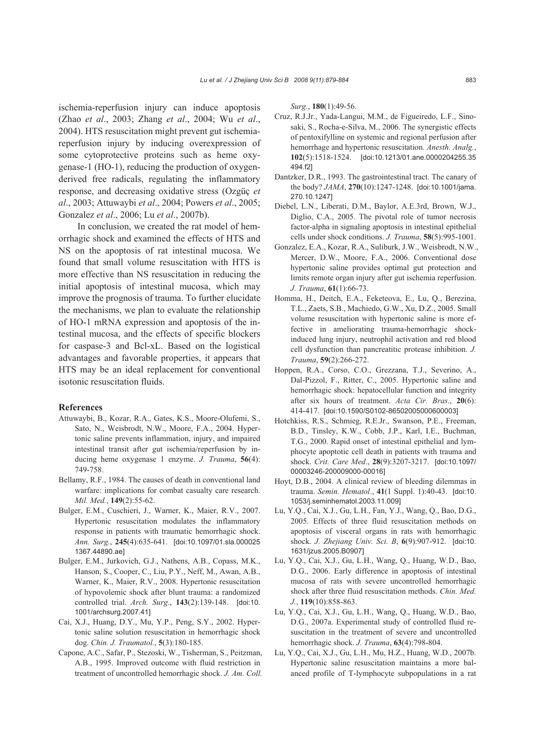ischemia-reperfusion injury can induce apoptosis (Zhao *et al*., 2003; Zhang *et al*., 2004; Wu *et al*., 2004). HTS resuscitation might prevent gut ischemiareperfusion injury by inducing overexpression of some cytoprotective proteins such as heme oxygenase-1 (HO-1), reducing the production of oxygenderived free radicals, regulating the inflammatory response, and decreasing oxidative stress (Ozgüç *et al*., 2003; Attuwaybi *et al*., 2004; Powers *et al*., 2005; Gonzalez *et al*., 2006; Lu *et al*., 2007b).

In conclusion, we created the rat model of hemorrhagic shock and examined the effects of HTS and NS on the apoptosis of rat intestinal mucosa. We found that small volume resuscitation with HTS is more effective than NS resuscitation in reducing the initial apoptosis of intestinal mucosa, which may improve the prognosis of trauma. To further elucidate the mechanisms, we plan to evaluate the relationship of HO-1 mRNA expression and apoptosis of the intestinal mucosa, and the effects of specific blockers for caspase-3 and Bcl-xL. Based on the logistical advantages and favorable properties, it appears that HTS may be an ideal replacement for conventional isotonic resuscitation fluids.

#### **References**

- Attuwaybi, B., Kozar, R.A., Gates, K.S., Moore-Olufemi, S., Sato, N., Weisbrodt, N.W., Moore, F.A., 2004. Hypertonic saline prevents inflammation, injury, and impaired intestinal transit after gut ischemia/reperfusion by inducing heme oxygenase 1 enzyme. *J. Trauma*, **56**(4): 749-758.
- Bellamy, R.F., 1984. The causes of death in conventional land warfare: implications for combat casualty care research. *Mil. Med.*, **149**(2):55-62.
- Bulger, E.M., Cuschieri, J., Warner, K., Maier, R.V., 2007. Hypertonic resuscitation modulates the inflammatory response in patients with traumatic hemorrhagic shock. *Ann. Surg.*, **245**(4):635-641. [doi:10.1097/01.sla.000025 1367.44890.ae]
- Bulger, E.M., Jurkovich, G.J., Nathens, A.B., Copass, M.K., Hanson, S., Cooper, C., Liu, P.Y., Neff, M., Awan, A.B., Warner, K., Maier, R.V., 2008. Hypertonic resuscitation of hypovolemic shock after blunt trauma: a randomized controlled trial. *Arch. Surg.*, **143**(2):139-148. [doi:10. 1001/archsurg.2007.41]
- Cai, X.J., Huang, D.Y., Mu, Y.P., Peng, S.Y., 2002. Hypertonic saline solution resuscitation in hemorrhagic shock dog. *Chin. J. Traumatol.*, **5**(3):180-185.
- Capone, A.C., Safar, P., Stezoski, W., Tisherman, S., Peitzman, A.B., 1995. Improved outcome with fluid restriction in treatment of uncontrolled hemorrhagic shock. *J. Am. Coll.*

*Surg.*, **180**(1):49-56.

- Cruz, R.J.Jr., Yada-Langui, M.M., de Figueiredo, L.F., Sinosaki, S., Rocha-e-Silva, M., 2006. The synergistic effects of pentoxifylline on systemic and regional perfusion after hemorrhage and hypertonic resuscitation. *Anesth. Analg.*, **102**(5):1518-1524. [doi:10.1213/01.ane.0000204255.35 494.f2]
- Dantzker, D.R., 1993. The gastrointestinal tract. The canary of the body? *JAMA*, **270**(10):1247-1248. [doi:10.1001/jama. 270.10.1247]
- Diebel, L.N., Liberati, D.M., Baylor, A.E.3rd, Brown, W.J., Diglio, C.A., 2005. The pivotal role of tumor necrosis factor-alpha in signaling apoptosis in intestinal epithelial cells under shock conditions. *J. Trauma*, **58**(5):995-1001.
- Gonzalez, E.A., Kozar, R.A., Suliburk, J.W., Weisbrodt, N.W., Mercer, D.W., Moore, F.A., 2006. Conventional dose hypertonic saline provides optimal gut protection and limits remote organ injury after gut ischemia reperfusion. *J. Trauma*, **61**(1):66-73.
- Homma, H., Deitch, E.A., Feketeova, E., Lu, Q., Berezina, T.L., Zaets, S.B., Machiedo, G.W., Xu, D.Z., 2005. Small volume resuscitation with hypertonic saline is more effective in ameliorating trauma-hemorrhagic shockinduced lung injury, neutrophil activation and red blood cell dysfunction than pancreatitic protease inhibition. *J. Trauma*, **59**(2):266-272.
- Hoppen, R.A., Corso, C.O., Grezzana, T.J., Severino, A., Dal-Pizzol, F., Ritter, C., 2005. Hypertonic saline and hemorrhagic shock: hepatocellular function and integrity after six hours of treatment. *Acta Cir. Bras*., **20**(6): 414-417. [doi:10.1590/S0102-86502005000600003]
- Hotchkiss, R.S., Schmieg, R.E.Jr., Swanson, P.E., Freeman, B.D., Tinsley, K.W., Cobb, J.P., Karl, I.E., Buchman, T.G., 2000. Rapid onset of intestinal epithelial and lymphocyte apoptotic cell death in patients with trauma and shock. *Crit. Care Med*., **28**(9):3207-3217. [doi:10.1097/ 00003246-200009000-00016]
- Hoyt, D.B., 2004. A clinical review of bleeding dilemmas in trauma. *Semin. Hematol*., **41**(1 Suppl. 1):40-43. [doi:10. 1053/j.seminhematol.2003.11.009]
- Lu, Y.Q., Cai, X.J., Gu, L.H., Fan, Y.J., Wang, Q., Bao, D.G., 2005. Effects of three fluid resuscitation methods on apoptosis of visceral organs in rats with hemorrhagic shock. *J. Zhejiang Univ. Sci. B*, **6**(9):907-912. [doi:10. 1631/jzus.2005.B0907]
- Lu, Y.Q., Cai, X.J., Gu, L.H., Wang, Q., Huang, W.D., Bao, D.G., 2006. Early difference in apoptosis of intestinal mucosa of rats with severe uncontrolled hemorrhagic shock after three fluid resuscitation methods. *Chin. Med. J.*, **119**(10):858-863.
- Lu, Y.Q., Cai, X.J., Gu, L.H., Wang, Q., Huang, W.D., Bao, D.G., 2007a. Experimental study of controlled fluid resuscitation in the treatment of severe and uncontrolled hemorrhagic shock. *J. Trauma*, **63**(4):798-804.
- Lu, Y.Q., Cai, X.J., Gu, L.H., Mu, H.Z., Huang, W.D., 2007b. Hypertonic saline resuscitation maintains a more balanced profile of T-lymphocyte subpopulations in a rat